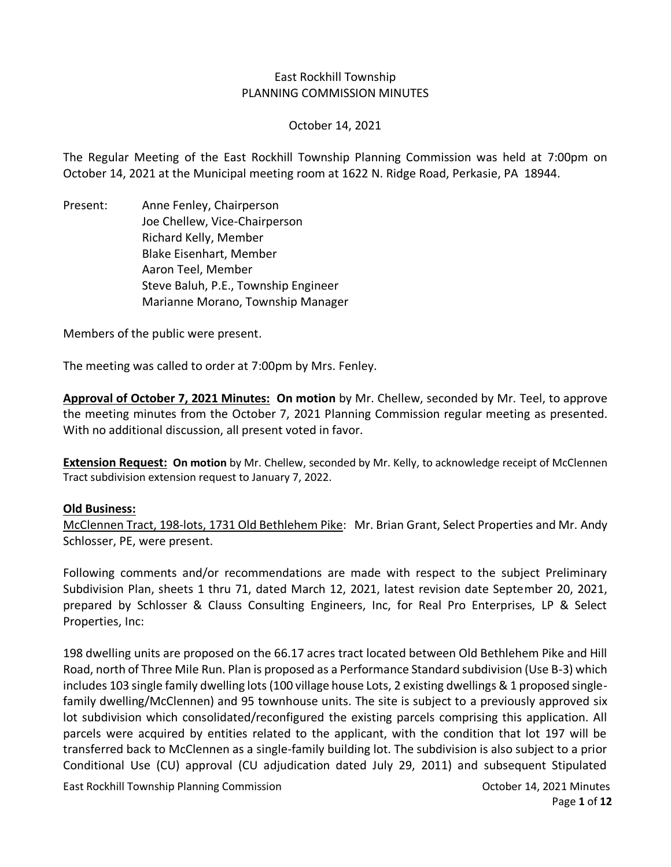### East Rockhill Township PLANNING COMMISSION MINUTES

October 14, 2021

The Regular Meeting of the East Rockhill Township Planning Commission was held at 7:00pm on October 14, 2021 at the Municipal meeting room at 1622 N. Ridge Road, Perkasie, PA 18944.

Present: Anne Fenley, Chairperson Joe Chellew, Vice-Chairperson Richard Kelly, Member Blake Eisenhart, Member Aaron Teel, Member Steve Baluh, P.E., Township Engineer Marianne Morano, Township Manager

Members of the public were present.

The meeting was called to order at 7:00pm by Mrs. Fenley.

**Approval of October 7, 2021 Minutes: On motion** by Mr. Chellew, seconded by Mr. Teel, to approve the meeting minutes from the October 7, 2021 Planning Commission regular meeting as presented. With no additional discussion, all present voted in favor.

**Extension Request: On motion** by Mr. Chellew, seconded by Mr. Kelly, to acknowledge receipt of McClennen Tract subdivision extension request to January 7, 2022.

#### **Old Business:**

McClennen Tract, 198-lots, 1731 Old Bethlehem Pike: Mr. Brian Grant, Select Properties and Mr. Andy Schlosser, PE, were present.

Following comments and/or recommendations are made with respect to the subject Preliminary Subdivision Plan, sheets 1 thru 71, dated March 12, 2021, latest revision date September 20, 2021, prepared by Schlosser & Clauss Consulting Engineers, Inc, for Real Pro Enterprises, LP & Select Properties, Inc:

198 dwelling units are proposed on the 66.17 acres tract located between Old Bethlehem Pike and Hill Road, north of Three Mile Run. Plan is proposed as a Performance Standard subdivision (Use B-3) which includes 103 single family dwelling lots (100 village house Lots, 2 existing dwellings & 1 proposed singlefamily dwelling/McClennen) and 95 townhouse units. The site is subject to a previously approved six lot subdivision which consolidated/reconfigured the existing parcels comprising this application. All parcels were acquired by entities related to the applicant, with the condition that lot 197 will be transferred back to McClennen as a single-family building lot. The subdivision is also subject to a prior Conditional Use (CU) approval (CU adjudication dated July 29, 2011) and subsequent Stipulated

East Rockhill Township Planning Commission **Commission** Commission **October 14, 2021 Minutes**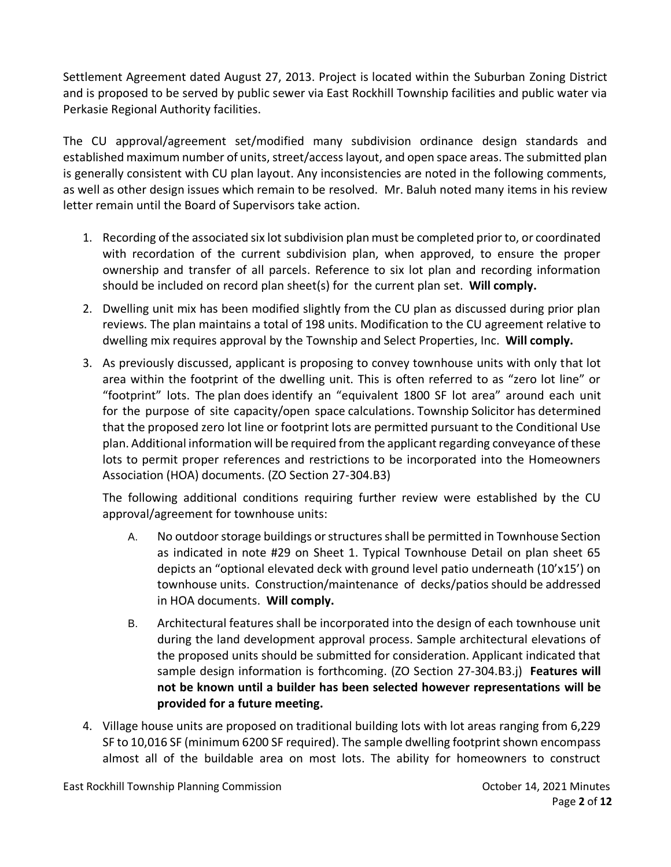Settlement Agreement dated August 27, 2013. Project is located within the Suburban Zoning District and is proposed to be served by public sewer via East Rockhill Township facilities and public water via Perkasie Regional Authority facilities.

The CU approval/agreement set/modified many subdivision ordinance design standards and established maximum number of units, street/access layout, and open space areas. The submitted plan is generally consistent with CU plan layout. Any inconsistencies are noted in the following comments, as well as other design issues which remain to be resolved. Mr. Baluh noted many items in his review letter remain until the Board of Supervisors take action.

- 1. Recording of the associated six lot subdivision plan must be completed prior to, or coordinated with recordation of the current subdivision plan, when approved, to ensure the proper ownership and transfer of all parcels. Reference to six lot plan and recording information should be included on record plan sheet(s) for the current plan set. **Will comply.**
- 2. Dwelling unit mix has been modified slightly from the CU plan as discussed during prior plan reviews. The plan maintains a total of 198 units. Modification to the CU agreement relative to dwelling mix requires approval by the Township and Select Properties, Inc. **Will comply.**
- 3. As previously discussed, applicant is proposing to convey townhouse units with only that lot area within the footprint of the dwelling unit. This is often referred to as "zero lot line" or "footprint" lots. The plan does identify an "equivalent 1800 SF lot area" around each unit for the purpose of site capacity/open space calculations. Township Solicitor has determined that the proposed zero lot line or footprint lots are permitted pursuant to the Conditional Use plan. Additional information will be required from the applicant regarding conveyance of these lots to permit proper references and restrictions to be incorporated into the Homeowners Association (HOA) documents. (ZO Section 27-304.B3)

The following additional conditions requiring further review were established by the CU approval/agreement for townhouse units:

- A. No outdoor storage buildings or structures shall be permitted in Townhouse Section as indicated in note #29 on Sheet 1. Typical Townhouse Detail on plan sheet 65 depicts an "optional elevated deck with ground level patio underneath (10'x15') on townhouse units. Construction/maintenance of decks/patios should be addressed in HOA documents. **Will comply.**
- B. Architectural features shall be incorporated into the design of each townhouse unit during the land development approval process. Sample architectural elevations of the proposed units should be submitted for consideration. Applicant indicated that sample design information is forthcoming. (ZO Section 27-304.B3.j) **Features will not be known until a builder has been selected however representations will be provided for a future meeting.**
- 4. Village house units are proposed on traditional building lots with lot areas ranging from 6,229 SF to 10,016 SF (minimum 6200 SF required). The sample dwelling footprint shown encompass almost all of the buildable area on most lots. The ability for homeowners to construct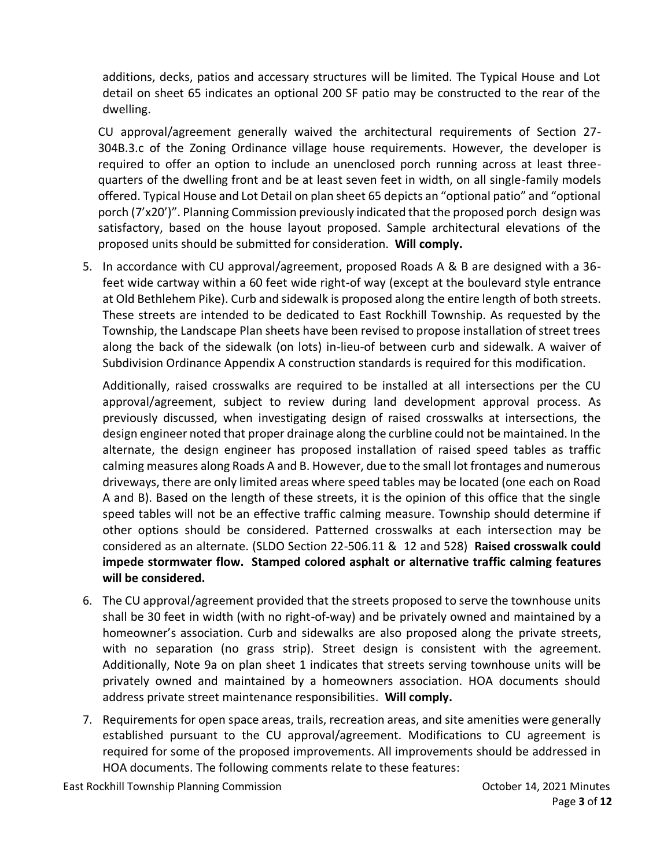additions, decks, patios and accessary structures will be limited. The Typical House and Lot detail on sheet 65 indicates an optional 200 SF patio may be constructed to the rear of the dwelling.

CU approval/agreement generally waived the architectural requirements of Section 27- 304B.3.c of the Zoning Ordinance village house requirements. However, the developer is required to offer an option to include an unenclosed porch running across at least threequarters of the dwelling front and be at least seven feet in width, on all single-family models offered. Typical House and Lot Detail on plan sheet 65 depicts an "optional patio" and "optional porch (7'x20')". Planning Commission previously indicated that the proposed porch design was satisfactory, based on the house layout proposed. Sample architectural elevations of the proposed units should be submitted for consideration. **Will comply.**

5. In accordance with CU approval/agreement, proposed Roads A & B are designed with a 36 feet wide cartway within a 60 feet wide right-of way (except at the boulevard style entrance at Old Bethlehem Pike). Curb and sidewalk is proposed along the entire length of both streets. These streets are intended to be dedicated to East Rockhill Township. As requested by the Township, the Landscape Plan sheets have been revised to propose installation of street trees along the back of the sidewalk (on lots) in-lieu-of between curb and sidewalk. A waiver of Subdivision Ordinance Appendix A construction standards is required for this modification.

Additionally, raised crosswalks are required to be installed at all intersections per the CU approval/agreement, subject to review during land development approval process. As previously discussed, when investigating design of raised crosswalks at intersections, the design engineer noted that proper drainage along the curbline could not be maintained. In the alternate, the design engineer has proposed installation of raised speed tables as traffic calming measures along Roads A and B. However, due to the small lot frontages and numerous driveways, there are only limited areas where speed tables may be located (one each on Road A and B). Based on the length of these streets, it is the opinion of this office that the single speed tables will not be an effective traffic calming measure. Township should determine if other options should be considered. Patterned crosswalks at each intersection may be considered as an alternate. (SLDO Section 22-506.11 & 12 and 528) **Raised crosswalk could impede stormwater flow. Stamped colored asphalt or alternative traffic calming features will be considered.** 

- 6. The CU approval/agreement provided that the streets proposed to serve the townhouse units shall be 30 feet in width (with no right-of-way) and be privately owned and maintained by a homeowner's association. Curb and sidewalks are also proposed along the private streets, with no separation (no grass strip). Street design is consistent with the agreement. Additionally, Note 9a on plan sheet 1 indicates that streets serving townhouse units will be privately owned and maintained by a homeowners association. HOA documents should address private street maintenance responsibilities. **Will comply.**
- 7. Requirements for open space areas, trails, recreation areas, and site amenities were generally established pursuant to the CU approval/agreement. Modifications to CU agreement is required for some of the proposed improvements. All improvements should be addressed in HOA documents. The following comments relate to these features: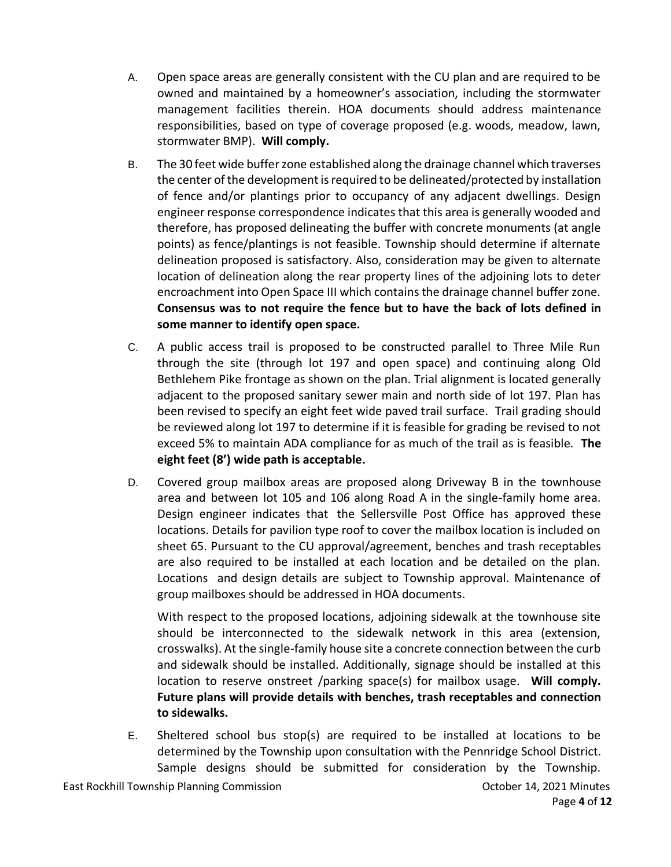- A. Open space areas are generally consistent with the CU plan and are required to be owned and maintained by a homeowner's association, including the stormwater management facilities therein. HOA documents should address maintenance responsibilities, based on type of coverage proposed (e.g. woods, meadow, lawn, stormwater BMP). **Will comply.**
- B. The 30 feet wide buffer zone established along the drainage channel which traverses the center of the development is required to be delineated/protected by installation of fence and/or plantings prior to occupancy of any adjacent dwellings. Design engineer response correspondence indicates that this area is generally wooded and therefore, has proposed delineating the buffer with concrete monuments (at angle points) as fence/plantings is not feasible. Township should determine if alternate delineation proposed is satisfactory. Also, consideration may be given to alternate location of delineation along the rear property lines of the adjoining lots to deter encroachment into Open Space III which contains the drainage channel buffer zone. **Consensus was to not require the fence but to have the back of lots defined in some manner to identify open space.**
- C. A public access trail is proposed to be constructed parallel to Three Mile Run through the site (through lot 197 and open space) and continuing along Old Bethlehem Pike frontage as shown on the plan. Trial alignment is located generally adjacent to the proposed sanitary sewer main and north side of lot 197. Plan has been revised to specify an eight feet wide paved trail surface. Trail grading should be reviewed along lot 197 to determine if it is feasible for grading be revised to not exceed 5% to maintain ADA compliance for as much of the trail as is feasible. **The eight feet (8') wide path is acceptable.**
- D. Covered group mailbox areas are proposed along Driveway B in the townhouse area and between lot 105 and 106 along Road A in the single-family home area. Design engineer indicates that the Sellersville Post Office has approved these locations. Details for pavilion type roof to cover the mailbox location is included on sheet 65. Pursuant to the CU approval/agreement, benches and trash receptables are also required to be installed at each location and be detailed on the plan. Locations and design details are subject to Township approval. Maintenance of group mailboxes should be addressed in HOA documents.

With respect to the proposed locations, adjoining sidewalk at the townhouse site should be interconnected to the sidewalk network in this area (extension, crosswalks). At the single-family house site a concrete connection between the curb and sidewalk should be installed. Additionally, signage should be installed at this location to reserve onstreet /parking space(s) for mailbox usage. **Will comply. Future plans will provide details with benches, trash receptables and connection to sidewalks.** 

E. Sheltered school bus stop(s) are required to be installed at locations to be determined by the Township upon consultation with the Pennridge School District. Sample designs should be submitted for consideration by the Township.

East Rockhill Township Planning Commission **Commission** Commission **October 14, 2021 Minutes**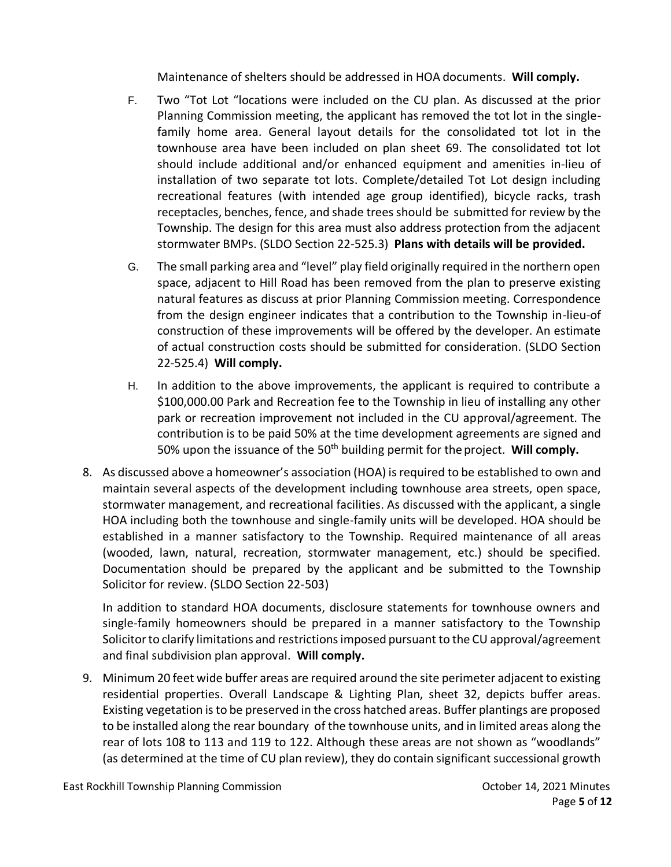Maintenance of shelters should be addressed in HOA documents. **Will comply.**

- F. Two "Tot Lot "locations were included on the CU plan. As discussed at the prior Planning Commission meeting, the applicant has removed the tot lot in the singlefamily home area. General layout details for the consolidated tot lot in the townhouse area have been included on plan sheet 69. The consolidated tot lot should include additional and/or enhanced equipment and amenities in-lieu of installation of two separate tot lots. Complete/detailed Tot Lot design including recreational features (with intended age group identified), bicycle racks, trash receptacles, benches, fence, and shade trees should be submitted for review by the Township. The design for this area must also address protection from the adjacent stormwater BMPs. (SLDO Section 22-525.3) **Plans with details will be provided.**
- G. The small parking area and "level" play field originally required in the northern open space, adjacent to Hill Road has been removed from the plan to preserve existing natural features as discuss at prior Planning Commission meeting. Correspondence from the design engineer indicates that a contribution to the Township in-lieu-of construction of these improvements will be offered by the developer. An estimate of actual construction costs should be submitted for consideration. (SLDO Section 22-525.4) **Will comply.**
- H. In addition to the above improvements, the applicant is required to contribute a \$100,000.00 Park and Recreation fee to the Township in lieu of installing any other park or recreation improvement not included in the CU approval/agreement. The contribution is to be paid 50% at the time development agreements are signed and 50% upon the issuance of the 50th building permit for the project. **Will comply.**
- 8. As discussed above a homeowner's association (HOA) is required to be established to own and maintain several aspects of the development including townhouse area streets, open space, stormwater management, and recreational facilities. As discussed with the applicant, a single HOA including both the townhouse and single-family units will be developed. HOA should be established in a manner satisfactory to the Township. Required maintenance of all areas (wooded, lawn, natural, recreation, stormwater management, etc.) should be specified. Documentation should be prepared by the applicant and be submitted to the Township Solicitor for review. (SLDO Section 22-503)

In addition to standard HOA documents, disclosure statements for townhouse owners and single-family homeowners should be prepared in a manner satisfactory to the Township Solicitor to clarify limitations and restrictions imposed pursuant to the CU approval/agreement and final subdivision plan approval. **Will comply.**

9. Minimum 20 feet wide buffer areas are required around the site perimeter adjacent to existing residential properties. Overall Landscape & Lighting Plan, sheet 32, depicts buffer areas. Existing vegetation is to be preserved in the cross hatched areas. Buffer plantings are proposed to be installed along the rear boundary of the townhouse units, and in limited areas along the rear of lots 108 to 113 and 119 to 122. Although these areas are not shown as "woodlands" (as determined at the time of CU plan review), they do contain significant successional growth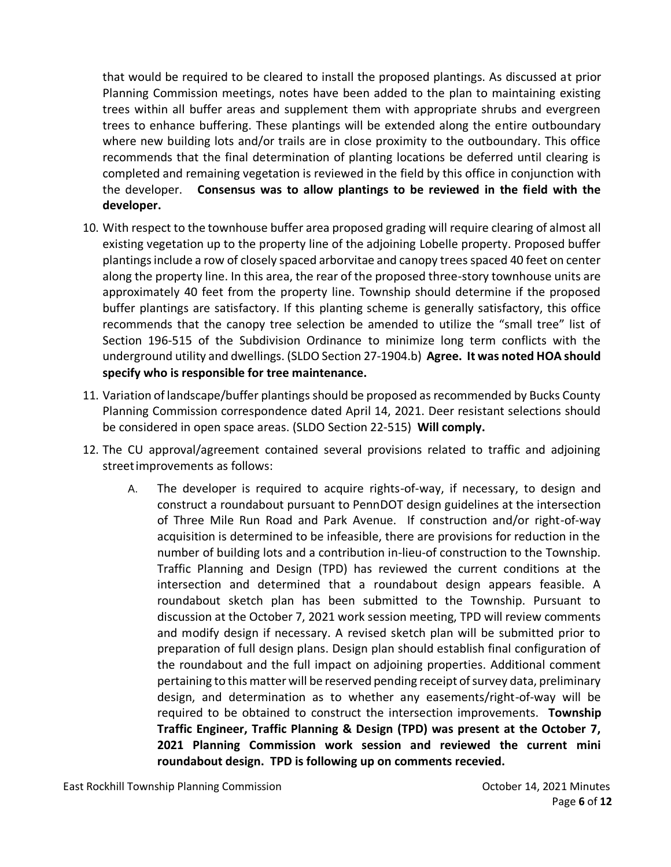that would be required to be cleared to install the proposed plantings. As discussed at prior Planning Commission meetings, notes have been added to the plan to maintaining existing trees within all buffer areas and supplement them with appropriate shrubs and evergreen trees to enhance buffering. These plantings will be extended along the entire outboundary where new building lots and/or trails are in close proximity to the outboundary. This office recommends that the final determination of planting locations be deferred until clearing is completed and remaining vegetation is reviewed in the field by this office in conjunction with the developer. **Consensus was to allow plantings to be reviewed in the field with the developer.** 

- 10. With respect to the townhouse buffer area proposed grading will require clearing of almost all existing vegetation up to the property line of the adjoining Lobelle property. Proposed buffer plantings include a row of closely spaced arborvitae and canopy trees spaced 40 feet on center along the property line. In this area, the rear of the proposed three-story townhouse units are approximately 40 feet from the property line. Township should determine if the proposed buffer plantings are satisfactory. If this planting scheme is generally satisfactory, this office recommends that the canopy tree selection be amended to utilize the "small tree" list of Section 196-515 of the Subdivision Ordinance to minimize long term conflicts with the underground utility and dwellings. (SLDO Section 27-1904.b) **Agree. It was noted HOA should specify who is responsible for tree maintenance.**
- 11. Variation of landscape/buffer plantings should be proposed as recommended by Bucks County Planning Commission correspondence dated April 14, 2021. Deer resistant selections should be considered in open space areas. (SLDO Section 22-515) **Will comply.**
- 12. The CU approval/agreement contained several provisions related to traffic and adjoining streetimprovements as follows:
	- A. The developer is required to acquire rights-of-way, if necessary, to design and construct a roundabout pursuant to PennDOT design guidelines at the intersection of Three Mile Run Road and Park Avenue. If construction and/or right-of-way acquisition is determined to be infeasible, there are provisions for reduction in the number of building lots and a contribution in-lieu-of construction to the Township. Traffic Planning and Design (TPD) has reviewed the current conditions at the intersection and determined that a roundabout design appears feasible. A roundabout sketch plan has been submitted to the Township. Pursuant to discussion at the October 7, 2021 work session meeting, TPD will review comments and modify design if necessary. A revised sketch plan will be submitted prior to preparation of full design plans. Design plan should establish final configuration of the roundabout and the full impact on adjoining properties. Additional comment pertaining to this matter will be reserved pending receipt of survey data, preliminary design, and determination as to whether any easements/right-of-way will be required to be obtained to construct the intersection improvements. **Township Traffic Engineer, Traffic Planning & Design (TPD) was present at the October 7, 2021 Planning Commission work session and reviewed the current mini roundabout design. TPD is following up on comments recevied.**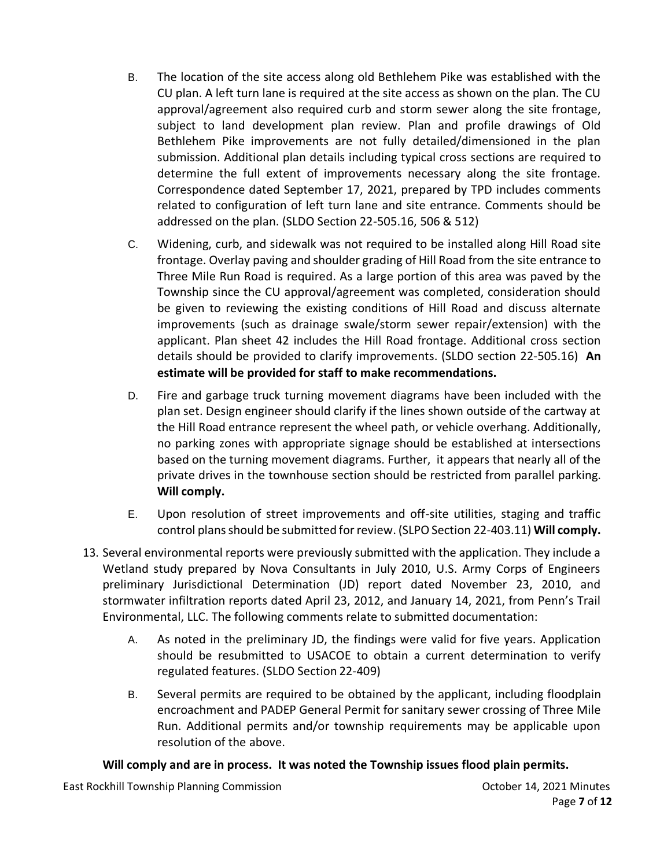- B. The location of the site access along old Bethlehem Pike was established with the CU plan. A left turn lane is required at the site access as shown on the plan. The CU approval/agreement also required curb and storm sewer along the site frontage, subject to land development plan review. Plan and profile drawings of Old Bethlehem Pike improvements are not fully detailed/dimensioned in the plan submission. Additional plan details including typical cross sections are required to determine the full extent of improvements necessary along the site frontage. Correspondence dated September 17, 2021, prepared by TPD includes comments related to configuration of left turn lane and site entrance. Comments should be addressed on the plan. (SLDO Section 22-505.16, 506 & 512)
- C. Widening, curb, and sidewalk was not required to be installed along Hill Road site frontage. Overlay paving and shoulder grading of Hill Road from the site entrance to Three Mile Run Road is required. As a large portion of this area was paved by the Township since the CU approval/agreement was completed, consideration should be given to reviewing the existing conditions of Hill Road and discuss alternate improvements (such as drainage swale/storm sewer repair/extension) with the applicant. Plan sheet 42 includes the Hill Road frontage. Additional cross section details should be provided to clarify improvements. (SLDO section 22-505.16) **An estimate will be provided for staff to make recommendations.**
- D. Fire and garbage truck turning movement diagrams have been included with the plan set. Design engineer should clarify if the lines shown outside of the cartway at the Hill Road entrance represent the wheel path, or vehicle overhang. Additionally, no parking zones with appropriate signage should be established at intersections based on the turning movement diagrams. Further, it appears that nearly all of the private drives in the townhouse section should be restricted from parallel parking. **Will comply.**
- E. Upon resolution of street improvements and off-site utilities, staging and traffic control plans should be submitted for review. (SLPO Section 22-403.11) **Will comply.**
- 13. Several environmental reports were previously submitted with the application. They include a Wetland study prepared by Nova Consultants in July 2010, U.S. Army Corps of Engineers preliminary Jurisdictional Determination (JD) report dated November 23, 2010, and stormwater infiltration reports dated April 23, 2012, and January 14, 2021, from Penn's Trail Environmental, LLC. The following comments relate to submitted documentation:
	- A. As noted in the preliminary JD, the findings were valid for five years. Application should be resubmitted to USACOE to obtain a current determination to verify regulated features. (SLDO Section 22-409)
	- B. Several permits are required to be obtained by the applicant, including floodplain encroachment and PADEP General Permit for sanitary sewer crossing of Three Mile Run. Additional permits and/or township requirements may be applicable upon resolution of the above.

## **Will comply and are in process. It was noted the Township issues flood plain permits.**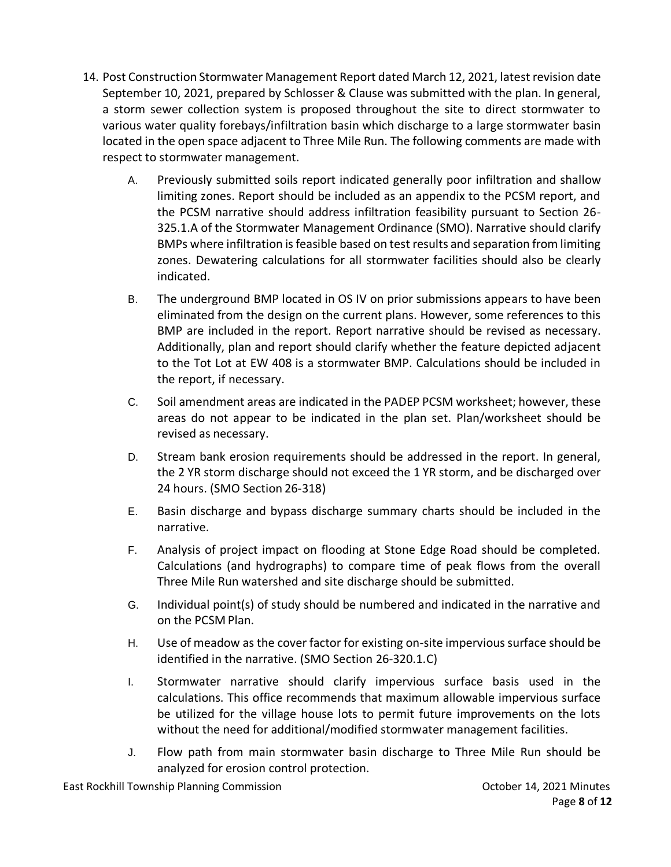- 14. Post Construction Stormwater Management Report dated March 12, 2021, latest revision date September 10, 2021, prepared by Schlosser & Clause was submitted with the plan. In general, a storm sewer collection system is proposed throughout the site to direct stormwater to various water quality forebays/infiltration basin which discharge to a large stormwater basin located in the open space adjacent to Three Mile Run. The following comments are made with respect to stormwater management.
	- A. Previously submitted soils report indicated generally poor infiltration and shallow limiting zones. Report should be included as an appendix to the PCSM report, and the PCSM narrative should address infiltration feasibility pursuant to Section 26- 325.1.A of the Stormwater Management Ordinance (SMO). Narrative should clarify BMPs where infiltration is feasible based on test results and separation from limiting zones. Dewatering calculations for all stormwater facilities should also be clearly indicated.
	- B. The underground BMP located in OS IV on prior submissions appears to have been eliminated from the design on the current plans. However, some references to this BMP are included in the report. Report narrative should be revised as necessary. Additionally, plan and report should clarify whether the feature depicted adjacent to the Tot Lot at EW 408 is a stormwater BMP. Calculations should be included in the report, if necessary.
	- C. Soil amendment areas are indicated in the PADEP PCSM worksheet; however, these areas do not appear to be indicated in the plan set. Plan/worksheet should be revised as necessary.
	- D. Stream bank erosion requirements should be addressed in the report. In general, the 2 YR storm discharge should not exceed the 1 YR storm, and be discharged over 24 hours. (SMO Section 26-318)
	- E. Basin discharge and bypass discharge summary charts should be included in the narrative.
	- F. Analysis of project impact on flooding at Stone Edge Road should be completed. Calculations (and hydrographs) to compare time of peak flows from the overall Three Mile Run watershed and site discharge should be submitted.
	- G. Individual point(s) of study should be numbered and indicated in the narrative and on the PCSM Plan.
	- H. Use of meadow as the cover factor for existing on-site impervious surface should be identified in the narrative. (SMO Section 26-320.1.C)
	- I. Stormwater narrative should clarify impervious surface basis used in the calculations. This office recommends that maximum allowable impervious surface be utilized for the village house lots to permit future improvements on the lots without the need for additional/modified stormwater management facilities.
	- J. Flow path from main stormwater basin discharge to Three Mile Run should be analyzed for erosion control protection.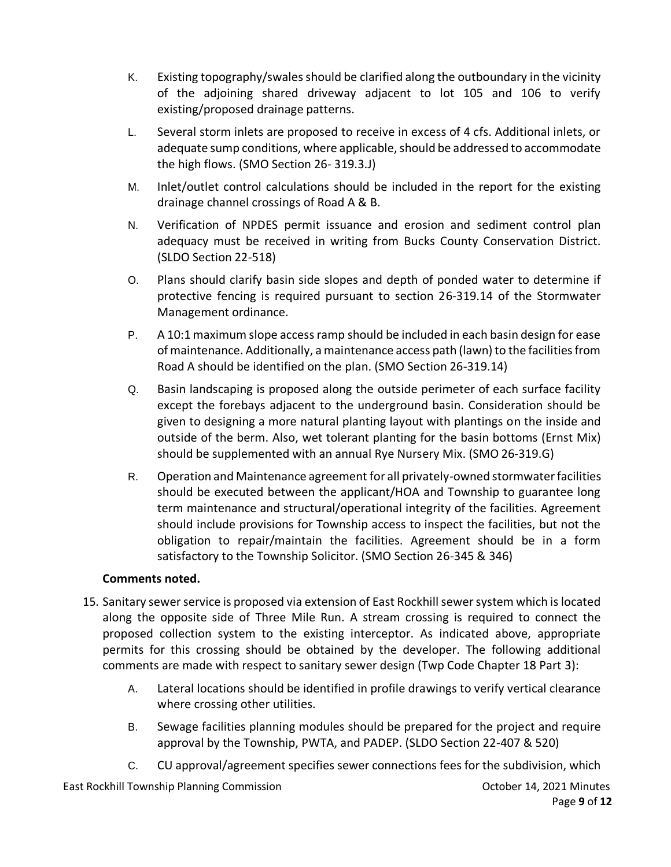- K. Existing topography/swales should be clarified along the outboundary in the vicinity of the adjoining shared driveway adjacent to lot 105 and 106 to verify existing/proposed drainage patterns.
- L. Several storm inlets are proposed to receive in excess of 4 cfs. Additional inlets, or adequate sump conditions, where applicable, should be addressed to accommodate the high flows. (SMO Section 26- 319.3.J)
- M. Inlet/outlet control calculations should be included in the report for the existing drainage channel crossings of Road A & B.
- N. Verification of NPDES permit issuance and erosion and sediment control plan adequacy must be received in writing from Bucks County Conservation District. (SLDO Section 22-518)
- O. Plans should clarify basin side slopes and depth of ponded water to determine if protective fencing is required pursuant to section 26-319.14 of the Stormwater Management ordinance.
- P. A 10:1 maximum slope access ramp should be included in each basin design for ease of maintenance. Additionally, a maintenance access path (lawn) to the facilities from Road A should be identified on the plan. (SMO Section 26-319.14)
- Q. Basin landscaping is proposed along the outside perimeter of each surface facility except the forebays adjacent to the underground basin. Consideration should be given to designing a more natural planting layout with plantings on the inside and outside of the berm. Also, wet tolerant planting for the basin bottoms (Ernst Mix) should be supplemented with an annual Rye Nursery Mix. (SMO 26-319.G)
- R. Operation and Maintenance agreement for all privately-owned stormwater facilities should be executed between the applicant/HOA and Township to guarantee long term maintenance and structural/operational integrity of the facilities. Agreement should include provisions for Township access to inspect the facilities, but not the obligation to repair/maintain the facilities. Agreement should be in a form satisfactory to the Township Solicitor. (SMO Section 26-345 & 346)

# **Comments noted.**

- 15. Sanitary sewer service is proposed via extension of East Rockhill sewer system which is located along the opposite side of Three Mile Run. A stream crossing is required to connect the proposed collection system to the existing interceptor. As indicated above, appropriate permits for this crossing should be obtained by the developer. The following additional comments are made with respect to sanitary sewer design (Twp Code Chapter 18 Part 3):
	- A. Lateral locations should be identified in profile drawings to verify vertical clearance where crossing other utilities.
	- B. Sewage facilities planning modules should be prepared for the project and require approval by the Township, PWTA, and PADEP. (SLDO Section 22-407 & 520)
	- C. CU approval/agreement specifies sewer connections fees for the subdivision, which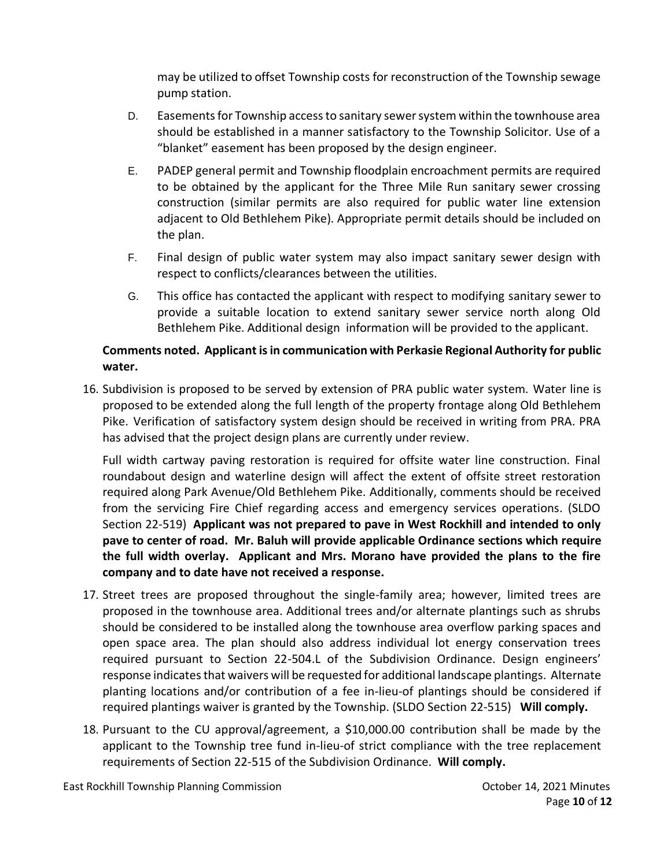may be utilized to offset Township costs for reconstruction of the Township sewage pump station.

- D. Easements for Township access to sanitary sewer system within the townhouse area should be established in a manner satisfactory to the Township Solicitor. Use of a "blanket" easement has been proposed by the design engineer.
- E. PADEP general permit and Township floodplain encroachment permits are required to be obtained by the applicant for the Three Mile Run sanitary sewer crossing construction (similar permits are also required for public water line extension adjacent to Old Bethlehem Pike). Appropriate permit details should be included on the plan.
- F. Final design of public water system may also impact sanitary sewer design with respect to conflicts/clearances between the utilities.
- G. This office has contacted the applicant with respect to modifying sanitary sewer to provide a suitable location to extend sanitary sewer service north along Old Bethlehem Pike. Additional design information will be provided to the applicant.

# **Comments noted. Applicant is in communication with Perkasie Regional Authority for public water.**

16. Subdivision is proposed to be served by extension of PRA public water system. Water line is proposed to be extended along the full length of the property frontage along Old Bethlehem Pike. Verification of satisfactory system design should be received in writing from PRA. PRA has advised that the project design plans are currently under review.

Full width cartway paving restoration is required for offsite water line construction. Final roundabout design and waterline design will affect the extent of offsite street restoration required along Park Avenue/Old Bethlehem Pike. Additionally, comments should be received from the servicing Fire Chief regarding access and emergency services operations. (SLDO Section 22-519) **Applicant was not prepared to pave in West Rockhill and intended to only pave to center of road. Mr. Baluh will provide applicable Ordinance sections which require the full width overlay. Applicant and Mrs. Morano have provided the plans to the fire company and to date have not received a response.** 

- 17. Street trees are proposed throughout the single-family area; however, limited trees are proposed in the townhouse area. Additional trees and/or alternate plantings such as shrubs should be considered to be installed along the townhouse area overflow parking spaces and open space area. The plan should also address individual lot energy conservation trees required pursuant to Section 22-504.L of the Subdivision Ordinance. Design engineers' response indicates that waivers will be requested for additional landscape plantings. Alternate planting locations and/or contribution of a fee in-lieu-of plantings should be considered if required plantings waiver is granted by the Township. (SLDO Section 22-515) **Will comply.**
- 18. Pursuant to the CU approval/agreement, a \$10,000.00 contribution shall be made by the applicant to the Township tree fund in-lieu-of strict compliance with the tree replacement requirements of Section 22-515 of the Subdivision Ordinance. **Will comply.**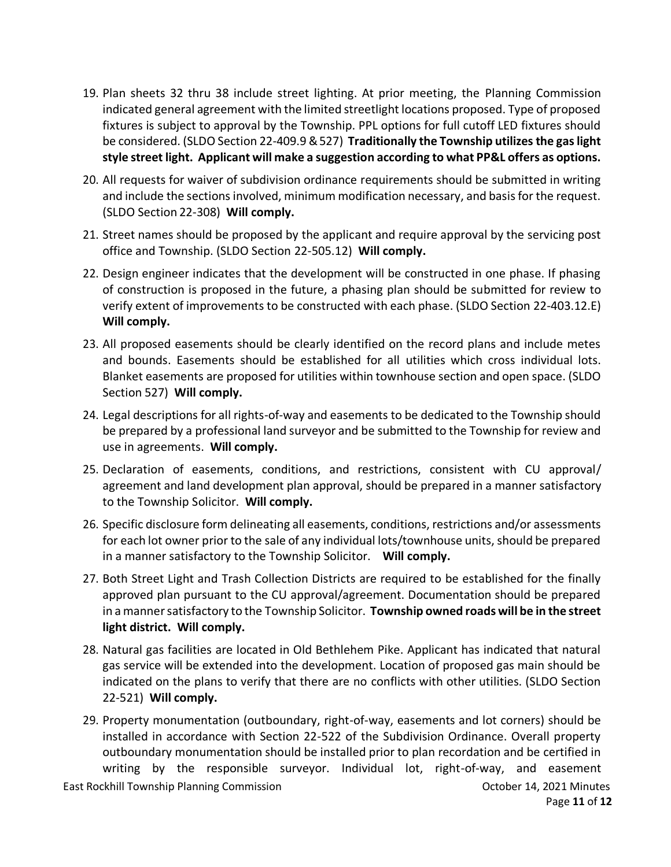- 19. Plan sheets 32 thru 38 include street lighting. At prior meeting, the Planning Commission indicated general agreement with the limited streetlight locations proposed. Type of proposed fixtures is subject to approval by the Township. PPL options for full cutoff LED fixtures should be considered. (SLDO Section 22-409.9 &527) **Traditionally the Township utilizes the gas light style street light. Applicant will make a suggestion according to what PP&L offers as options.**
- 20. All requests for waiver of subdivision ordinance requirements should be submitted in writing and include the sections involved, minimum modification necessary, and basis for the request. (SLDO Section 22-308) **Will comply.**
- 21. Street names should be proposed by the applicant and require approval by the servicing post office and Township. (SLDO Section 22-505.12) **Will comply.**
- 22. Design engineer indicates that the development will be constructed in one phase. If phasing of construction is proposed in the future, a phasing plan should be submitted for review to verify extent of improvements to be constructed with each phase. (SLDO Section 22-403.12.E) **Will comply.**
- 23. All proposed easements should be clearly identified on the record plans and include metes and bounds. Easements should be established for all utilities which cross individual lots. Blanket easements are proposed for utilities within townhouse section and open space. (SLDO Section 527) **Will comply.**
- 24. Legal descriptions for all rights-of-way and easements to be dedicated to the Township should be prepared by a professional land surveyor and be submitted to the Township for review and use in agreements. **Will comply.**
- 25. Declaration of easements, conditions, and restrictions, consistent with CU approval/ agreement and land development plan approval, should be prepared in a manner satisfactory to the Township Solicitor. **Will comply.**
- 26. Specific disclosure form delineating all easements, conditions, restrictions and/or assessments for each lot owner prior to the sale of any individual lots/townhouse units, should be prepared in a manner satisfactory to the Township Solicitor. **Will comply.**
- 27. Both Street Light and Trash Collection Districts are required to be established for the finally approved plan pursuant to the CU approval/agreement. Documentation should be prepared in a manner satisfactory to the Township Solicitor. **Township owned roads will be in the street light district. Will comply.**
- 28. Natural gas facilities are located in Old Bethlehem Pike. Applicant has indicated that natural gas service will be extended into the development. Location of proposed gas main should be indicated on the plans to verify that there are no conflicts with other utilities. (SLDO Section 22-521) **Will comply.**
- 29. Property monumentation (outboundary, right-of-way, easements and lot corners) should be installed in accordance with Section 22-522 of the Subdivision Ordinance. Overall property outboundary monumentation should be installed prior to plan recordation and be certified in writing by the responsible surveyor. Individual lot, right-of-way, and easement